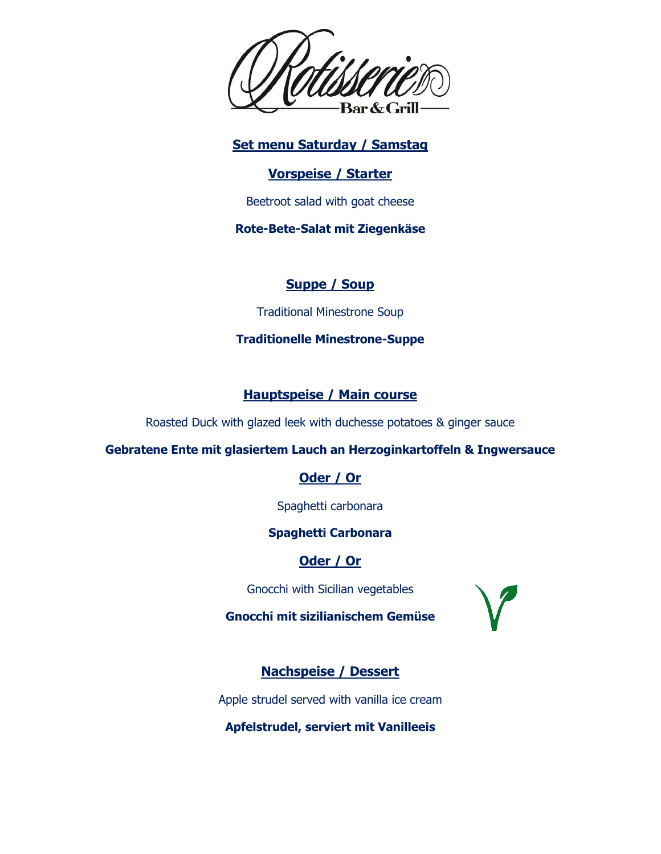

**Set menu Saturday / Samstag**

### **Vorspeise / Starter**

Beetroot salad with goat cheese

**Rote-Bete-Salat mit Ziegenkäse**

# **Suppe / Soup**

Traditional Minestrone Soup

## **Traditionelle Minestrone-Suppe**

# **Hauptspeise / Main course**

Roasted Duck with glazed leek with duchesse potatoes & ginger sauce

## **Gebratene Ente mit glasiertem Lauch an Herzoginkartoffeln & Ingwersauce**

# **Oder / Or**

Spaghetti carbonara

# **Spaghetti Carbonara**

# **Oder / Or**

Gnocchi with Sicilian vegetables

**Gnocchi mit sizilianischem Gemüse**



# **Nachspeise / Dessert**

Apple strudel served with vanilla ice cream

**Apfelstrudel, serviert mit Vanilleeis**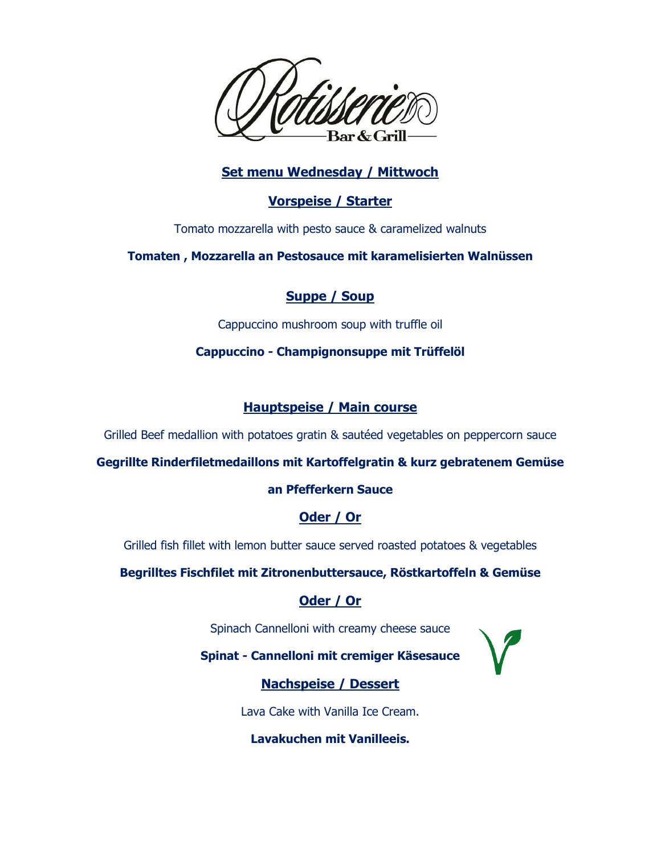

## **Set menu Wednesday / Mittwoch**

### **Vorspeise / Starter**

Tomato mozzarella with pesto sauce & caramelized walnuts

**Tomaten , Mozzarella an Pestosauce mit karamelisierten Walnüssen**

## **Suppe / Soup**

Cappuccino mushroom soup with truffle oil

#### **Cappuccino - Champignonsuppe mit Trüffelöl**

## **Hauptspeise / Main course**

Grilled Beef medallion with potatoes gratin & sautéed vegetables on peppercorn sauce

#### **Gegrillte Rinderfiletmedaillons mit Kartoffelgratin & kurz gebratenem Gemüse**

#### **an Pfefferkern Sauce**

## **Oder / Or**

Grilled fish fillet with lemon butter sauce served roasted potatoes & vegetables

**Begrilltes Fischfilet mit Zitronenbuttersauce, Röstkartoffeln & Gemüse**

# **Oder / Or**

Spinach Cannelloni with creamy cheese sauce

**Spinat - Cannelloni mit cremiger Käsesauce**

# **Nachspeise / Dessert**

Lava Cake with Vanilla Ice Cream.

**Lavakuchen mit Vanilleeis.**